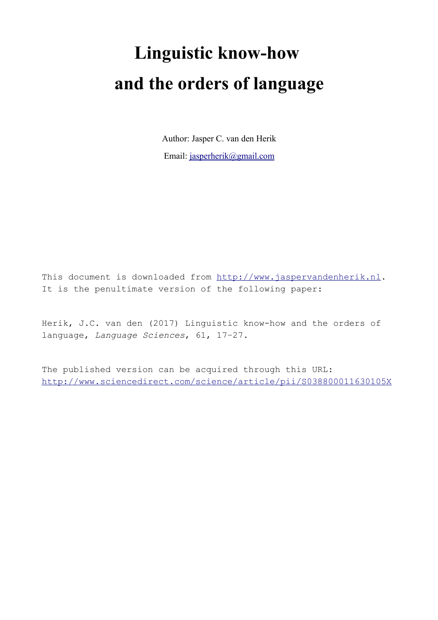# **Linguistic know-how and the orders of language**

Author: Jasper C. van den Herik Email: [jasperherik@gmail.com](mailto:jasperherik@gmail.com)

This document is downloaded from [http://www.jaspervandenherik.nl.](http://www.jaspervandenherik.nl/) It is the penultimate version of the following paper:

Herik, J.C. van den (2017) Linguistic know-how and the orders of language, *Language Sciences*, 61, 17–27.

The published version can be acquired through this URL: <http://www.sciencedirect.com/science/article/pii/S038800011630105X>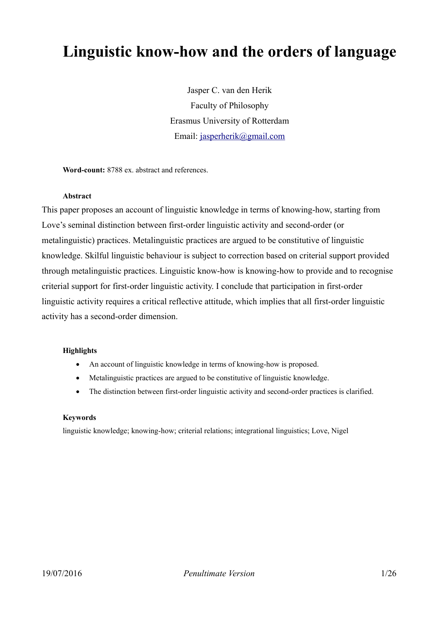# **Linguistic know-how and the orders of language**

Jasper C. van den Herik Faculty of Philosophy Erasmus University of Rotterdam Email: [jasperherik@gmail.com](mailto:jasperherik@gmail.com)

**Word-count:** 8788 ex. abstract and references.

#### **Abstract**

This paper proposes an account of linguistic knowledge in terms of knowing-how, starting from Love's seminal distinction between first-order linguistic activity and second-order (or metalinguistic) practices. Metalinguistic practices are argued to be constitutive of linguistic knowledge. Skilful linguistic behaviour is subject to correction based on criterial support provided through metalinguistic practices. Linguistic know-how is knowing-how to provide and to recognise criterial support for first-order linguistic activity. I conclude that participation in first-order linguistic activity requires a critical reflective attitude, which implies that all first-order linguistic activity has a second-order dimension.

#### **Highlights**

- An account of linguistic knowledge in terms of knowing-how is proposed.
- Metalinguistic practices are argued to be constitutive of linguistic knowledge.
- The distinction between first-order linguistic activity and second-order practices is clarified.

#### **Keywords**

linguistic knowledge; knowing-how; criterial relations; integrational linguistics; Love, Nigel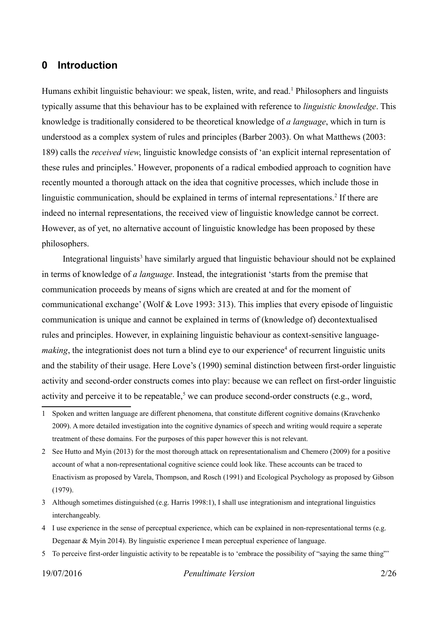# **0 Introduction**

Humans exhibit linguistic behaviour: we speak, listen, write, and read.<sup>[1](#page-2-0)</sup> Philosophers and linguists typically assume that this behaviour has to be explained with reference to *linguistic knowledge*. This knowledge is traditionally considered to be theoretical knowledge of *a language*, which in turn is understood as a complex system of rules and principles (Barber 2003). On what Matthews (2003: 189) calls the *received view*, linguistic knowledge consists of 'an explicit internal representation of these rules and principles.' However, proponents of a radical embodied approach to cognition have recently mounted a thorough attack on the idea that cognitive processes, which include those in linguistic communication, should be explained in terms of internal representations.<sup>[2](#page-2-1)</sup> If there are indeed no internal representations, the received view of linguistic knowledge cannot be correct. However, as of yet, no alternative account of linguistic knowledge has been proposed by these philosophers.

Integrational linguists<sup>[3](#page-2-2)</sup> have similarly argued that linguistic behaviour should not be explained in terms of knowledge of *a language*. Instead, the integrationist 'starts from the premise that communication proceeds by means of signs which are created at and for the moment of communicational exchange' (Wolf & Love 1993: 313). This implies that every episode of linguistic communication is unique and cannot be explained in terms of (knowledge of) decontextualised rules and principles. However, in explaining linguistic behaviour as context-sensitive language*making*, the integrationist does not turn a blind eye to our experience<sup>[4](#page-2-3)</sup> of recurrent linguistic units and the stability of their usage. Here Love's (1990) seminal distinction between first-order linguistic activity and second-order constructs comes into play: because we can reflect on first-order linguistic activity and perceive it to be repeatable,<sup>[5](#page-2-4)</sup> we can produce second-order constructs (e.g., word,

- <span id="page-2-3"></span>4 I use experience in the sense of perceptual experience, which can be explained in non-representational terms (e.g. Degenaar & Myin 2014). By linguistic experience I mean perceptual experience of language.
- <span id="page-2-4"></span>5 To perceive first-order linguistic activity to be repeatable is to 'embrace the possibility of "saying the same thing"'

<span id="page-2-0"></span><sup>1</sup> Spoken and written language are different phenomena, that constitute different cognitive domains (Kravchenko 2009). A more detailed investigation into the cognitive dynamics of speech and writing would require a seperate treatment of these domains. For the purposes of this paper however this is not relevant.

<span id="page-2-1"></span><sup>2</sup> See Hutto and Myin (2013) for the most thorough attack on representationalism and Chemero (2009) for a positive account of what a non-representational cognitive science could look like. These accounts can be traced to Enactivism as proposed by Varela, Thompson, and Rosch (1991) and Ecological Psychology as proposed by Gibson (1979).

<span id="page-2-2"></span><sup>3</sup> Although sometimes distinguished (e.g. Harris 1998:1), I shall use integrationism and integrational linguistics interchangeably.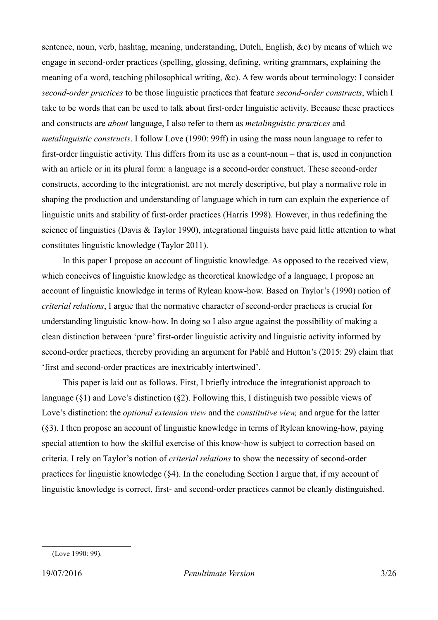sentence, noun, verb, hashtag, meaning, understanding, Dutch, English, &c) by means of which we engage in second-order practices (spelling, glossing, defining, writing grammars, explaining the meaning of a word, teaching philosophical writing, &c). A few words about terminology: I consider *second-order practices* to be those linguistic practices that feature *second-order constructs*, which I take to be words that can be used to talk about first-order linguistic activity. Because these practices and constructs are *about* language, I also refer to them as *metalinguistic practices* and *metalinguistic constructs*. I follow Love (1990: 99ff) in using the mass noun language to refer to first-order linguistic activity. This differs from its use as a count-noun – that is, used in conjunction with an article or in its plural form: a language is a second-order construct. These second-order constructs, according to the integrationist, are not merely descriptive, but play a normative role in shaping the production and understanding of language which in turn can explain the experience of linguistic units and stability of first-order practices (Harris 1998). However, in thus redefining the science of linguistics (Davis & Taylor 1990), integrational linguists have paid little attention to what constitutes linguistic knowledge (Taylor 2011).

In this paper I propose an account of linguistic knowledge. As opposed to the received view, which conceives of linguistic knowledge as theoretical knowledge of a language, I propose an account of linguistic knowledge in terms of Rylean know-how. Based on Taylor's (1990) notion of *criterial relations*, I argue that the normative character of second-order practices is crucial for understanding linguistic know-how. In doing so I also argue against the possibility of making a clean distinction between 'pure' first-order linguistic activity and linguistic activity informed by second-order practices, thereby providing an argument for Pablé and Hutton's (2015: 29) claim that 'first and second-order practices are inextricably intertwined'.

This paper is laid out as follows. First, I briefly introduce the integrationist approach to language (§1) and Love's distinction (§2). Following this, I distinguish two possible views of Love's distinction: the *optional extension view* and the *constitutive view,* and argue for the latter (§3). I then propose an account of linguistic knowledge in terms of Rylean knowing-how, paying special attention to how the skilful exercise of this know-how is subject to correction based on criteria. I rely on Taylor's notion of *criterial relations* to show the necessity of second-order practices for linguistic knowledge (§4). In the concluding Section I argue that, if my account of linguistic knowledge is correct, first- and second-order practices cannot be cleanly distinguished.

<sup>(</sup>Love 1990: 99).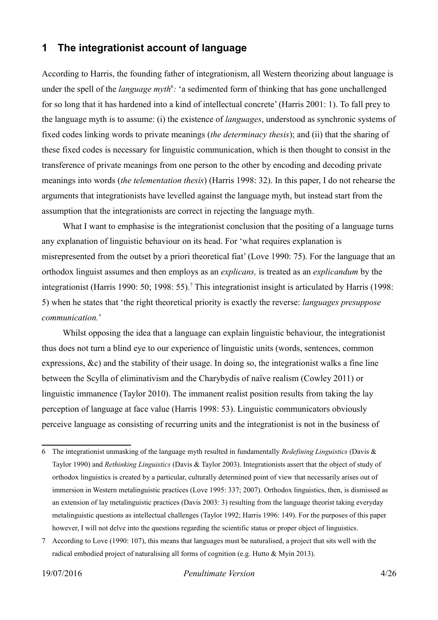# **1 The integrationist account of language**

According to Harris, the founding father of integrationism, all Western theorizing about language is under the spell of the *language myth*<sup>[6](#page-4-0)</sup>: 'a sedimented form of thinking that has gone unchallenged for so long that it has hardened into a kind of intellectual concrete' (Harris 2001: 1). To fall prey to the language myth is to assume: (i) the existence of *languages*, understood as synchronic systems of fixed codes linking words to private meanings (*the determinacy thesis*); and (ii) that the sharing of these fixed codes is necessary for linguistic communication, which is then thought to consist in the transference of private meanings from one person to the other by encoding and decoding private meanings into words (*the telementation thesis*) (Harris 1998: 32). In this paper, I do not rehearse the arguments that integrationists have levelled against the language myth, but instead start from the assumption that the integrationists are correct in rejecting the language myth.

What I want to emphasise is the integrationist conclusion that the positing of a language turns any explanation of linguistic behaviour on its head. For 'what requires explanation is misrepresented from the outset by a priori theoretical fiat' (Love 1990: 75). For the language that an orthodox linguist assumes and then employs as an *explicans,* is treated as an *explicandum* by the integrationist (Harris 1990: 50; 1998: 55).<sup>[7](#page-4-1)</sup> This integrationist insight is articulated by Harris (1998: 5) when he states that 'the right theoretical priority is exactly the reverse: *languages presuppose communication.*'

Whilst opposing the idea that a language can explain linguistic behaviour, the integrationist thus does not turn a blind eye to our experience of linguistic units (words, sentences, common expressions, &c) and the stability of their usage. In doing so, the integrationist walks a fine line between the Scylla of eliminativism and the Charybydis of naïve realism (Cowley 2011) or linguistic immanence (Taylor 2010). The immanent realist position results from taking the lay perception of language at face value (Harris 1998: 53). Linguistic communicators obviously perceive language as consisting of recurring units and the integrationist is not in the business of

<span id="page-4-0"></span><sup>6</sup> The integrationist unmasking of the language myth resulted in fundamentally *Redefining Linguistics* (Davis & Taylor 1990) and *Rethinking Linguistics* (Davis & Taylor 2003). Integrationists assert that the object of study of orthodox linguistics is created by a particular, culturally determined point of view that necessarily arises out of immersion in Western metalinguistic practices (Love 1995: 337; 2007). Orthodox linguistics, then, is dismissed as an extension of lay metalinguistic practices (Davis 2003: 3) resulting from the language theorist taking everyday metalinguistic questions as intellectual challenges (Taylor 1992; Harris 1996: 149). For the purposes of this paper however, I will not delve into the questions regarding the scientific status or proper object of linguistics.

<span id="page-4-1"></span><sup>7</sup> According to Love (1990: 107), this means that languages must be naturalised, a project that sits well with the radical embodied project of naturalising all forms of cognition (e.g. Hutto & Myin 2013).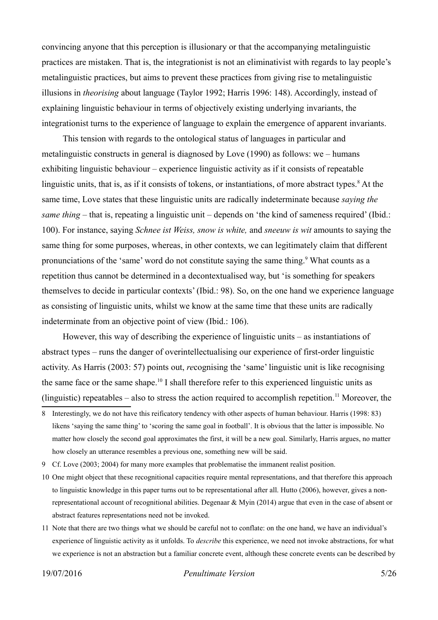convincing anyone that this perception is illusionary or that the accompanying metalinguistic practices are mistaken. That is, the integrationist is not an eliminativist with regards to lay people's metalinguistic practices, but aims to prevent these practices from giving rise to metalinguistic illusions in *theorising* about language (Taylor 1992; Harris 1996: 148). Accordingly, instead of explaining linguistic behaviour in terms of objectively existing underlying invariants, the integrationist turns to the experience of language to explain the emergence of apparent invariants.

This tension with regards to the ontological status of languages in particular and metalinguistic constructs in general is diagnosed by Love (1990) as follows: we – humans exhibiting linguistic behaviour – experience linguistic activity as if it consists of repeatable linguistic units, that is, as if it consists of tokens, or instantiations, of more abstract types.<sup>[8](#page-5-0)</sup> At the same time, Love states that these linguistic units are radically indeterminate because *saying the same thing* – that is, repeating a linguistic unit – depends on 'the kind of sameness required' (Ibid.: 100). For instance, saying *Schnee ist Weiss, snow is white,* and *sneeuw is wit* amounts to saying the same thing for some purposes, whereas, in other contexts, we can legitimately claim that different pronunciations of the 'same' word do not constitute saying the same thing.<sup>[9](#page-5-1)</sup> What counts as a repetition thus cannot be determined in a decontextualised way, but 'is something for speakers themselves to decide in particular contexts' (Ibid.: 98). So, on the one hand we experience language as consisting of linguistic units, whilst we know at the same time that these units are radically indeterminate from an objective point of view (Ibid.: 106).

However, this way of describing the experience of linguistic units – as instantiations of abstract types – runs the danger of overintellectualising our experience of first-order linguistic activity. As Harris (2003: 57) points out, *re*cognising the 'same' linguistic unit is like recognising the same face or the same shape.[10](#page-5-2) I shall therefore refer to this experienced linguistic units as (linguistic) repeatables – also to stress the action required to accomplish repetition.<sup>[11](#page-5-3)</sup> Moreover, the

<span id="page-5-0"></span><sup>8</sup> Interestingly, we do not have this reificatory tendency with other aspects of human behaviour. Harris (1998: 83) likens 'saying the same thing' to 'scoring the same goal in football'. It is obvious that the latter is impossible. No matter how closely the second goal approximates the first, it will be a new goal. Similarly, Harris argues, no matter how closely an utterance resembles a previous one, something new will be said.

<span id="page-5-1"></span><sup>9</sup> Cf. Love (2003; 2004) for many more examples that problematise the immanent realist position.

<span id="page-5-2"></span><sup>10</sup> One might object that these recognitional capacities require mental representations, and that therefore this approach to linguistic knowledge in this paper turns out to be representational after all. Hutto (2006), however, gives a nonrepresentational account of recognitional abilities. Degenaar & Myin (2014) argue that even in the case of absent or abstract features representations need not be invoked.

<span id="page-5-3"></span><sup>11</sup> Note that there are two things what we should be careful not to conflate: on the one hand, we have an individual's experience of linguistic activity as it unfolds. To *describe* this experience, we need not invoke abstractions, for what we experience is not an abstraction but a familiar concrete event, although these concrete events can be described by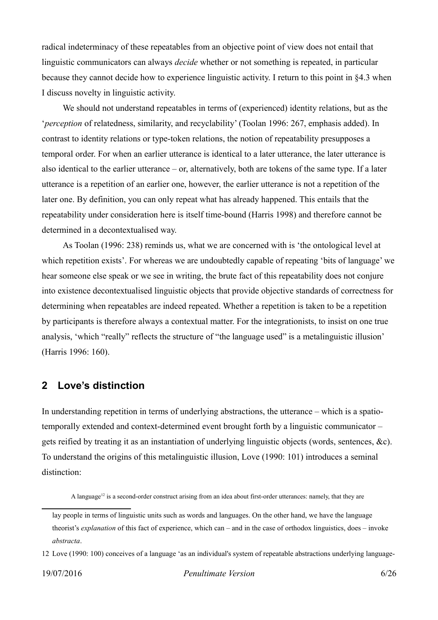radical indeterminacy of these repeatables from an objective point of view does not entail that linguistic communicators can always *decide* whether or not something is repeated, in particular because they cannot decide how to experience linguistic activity. I return to this point in §4.3 when I discuss novelty in linguistic activity.

We should not understand repeatables in terms of (experienced) identity relations, but as the '*perception* of relatedness, similarity, and recyclability' (Toolan 1996: 267, emphasis added). In contrast to identity relations or type-token relations, the notion of repeatability presupposes a temporal order. For when an earlier utterance is identical to a later utterance, the later utterance is also identical to the earlier utterance – or, alternatively, both are tokens of the same type. If a later utterance is a repetition of an earlier one, however, the earlier utterance is not a repetition of the later one. By definition, you can only repeat what has already happened. This entails that the repeatability under consideration here is itself time-bound (Harris 1998) and therefore cannot be determined in a decontextualised way.

As Toolan (1996: 238) reminds us, what we are concerned with is 'the ontological level at which repetition exists'. For whereas we are undoubtedly capable of repeating 'bits of language' we hear someone else speak or we see in writing, the brute fact of this repeatability does not conjure into existence decontextualised linguistic objects that provide objective standards of correctness for determining when repeatables are indeed repeated. Whether a repetition is taken to be a repetition by participants is therefore always a contextual matter. For the integrationists, to insist on one true analysis, 'which "really" reflects the structure of "the language used" is a metalinguistic illusion' (Harris 1996: 160).

# **2 Love's distinction**

In understanding repetition in terms of underlying abstractions, the utterance – which is a spatiotemporally extended and context-determined event brought forth by a linguistic communicator – gets reified by treating it as an instantiation of underlying linguistic objects (words, sentences, &c). To understand the origins of this metalinguistic illusion, Love (1990: 101) introduces a seminal distinction:

A language<sup>[12](#page-6-0)</sup> is a second-order construct arising from an idea about first-order utterances: namely, that they are

lay people in terms of linguistic units such as words and languages. On the other hand, we have the language theorist's *explanation* of this fact of experience, which can – and in the case of orthodox linguistics, does – invoke *abstracta*.

<span id="page-6-0"></span><sup>12</sup> Love (1990: 100) conceives of a language 'as an individual's system of repeatable abstractions underlying language-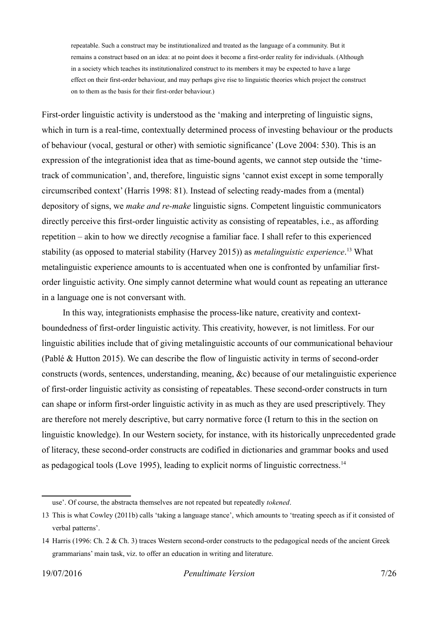repeatable. Such a construct may be institutionalized and treated as the language of a community. But it remains a construct based on an idea: at no point does it become a first-order reality for individuals. (Although in a society which teaches its institutionalized construct to its members it may be expected to have a large effect on their first-order behaviour, and may perhaps give rise to linguistic theories which project the construct on to them as the basis for their first-order behaviour.)

First-order linguistic activity is understood as the 'making and interpreting of linguistic signs, which in turn is a real-time, contextually determined process of investing behaviour or the products of behaviour (vocal, gestural or other) with semiotic significance' (Love 2004: 530). This is an expression of the integrationist idea that as time-bound agents, we cannot step outside the 'timetrack of communication', and, therefore, linguistic signs 'cannot exist except in some temporally circumscribed context' (Harris 1998: 81). Instead of selecting ready-mades from a (mental) depository of signs, we *make and re-make* linguistic signs. Competent linguistic communicators directly perceive this first-order linguistic activity as consisting of repeatables, i.e., as affording repetition – akin to how we directly *re*cognise a familiar face. I shall refer to this experienced stability (as opposed to material stability (Harvey 2015)) as *metalinguistic experience*. [13](#page-7-0) What metalinguistic experience amounts to is accentuated when one is confronted by unfamiliar firstorder linguistic activity. One simply cannot determine what would count as repeating an utterance in a language one is not conversant with.

In this way, integrationists emphasise the process-like nature, creativity and contextboundedness of first-order linguistic activity. This creativity, however, is not limitless. For our linguistic abilities include that of giving metalinguistic accounts of our communicational behaviour (Pablé & Hutton 2015). We can describe the flow of linguistic activity in terms of second-order constructs (words, sentences, understanding, meaning, &c) because of our metalinguistic experience of first-order linguistic activity as consisting of repeatables. These second-order constructs in turn can shape or inform first-order linguistic activity in as much as they are used prescriptively. They are therefore not merely descriptive, but carry normative force (I return to this in the section on linguistic knowledge). In our Western society, for instance, with its historically unprecedented grade of literacy, these second-order constructs are codified in dictionaries and grammar books and used as pedagogical tools (Love 1995), leading to explicit norms of linguistic correctness.<sup>[14](#page-7-1)</sup>

use'. Of course, the abstracta themselves are not repeated but repeatedly *tokened*.

<span id="page-7-0"></span><sup>13</sup> This is what Cowley (2011b) calls 'taking a language stance', which amounts to 'treating speech as if it consisted of verbal patterns'.

<span id="page-7-1"></span><sup>14</sup> Harris (1996: Ch. 2 & Ch. 3) traces Western second-order constructs to the pedagogical needs of the ancient Greek grammarians' main task, viz. to offer an education in writing and literature.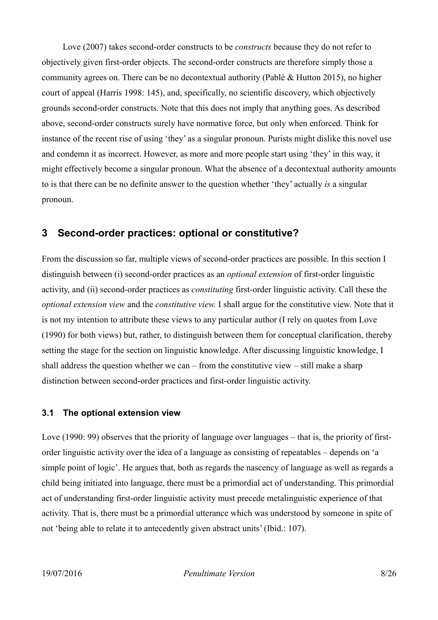Love (2007) takes second-order constructs to be *constructs* because they do not refer to objectively given first-order objects. The second-order constructs are therefore simply those a community agrees on. There can be no decontextual authority (Pablé & Hutton 2015), no higher court of appeal (Harris 1998: 145), and, specifically, no scientific discovery, which objectively grounds second-order constructs. Note that this does not imply that anything goes. As described above, second-order constructs surely have normative force, but only when enforced. Think for instance of the recent rise of using 'they' as a singular pronoun. Purists might dislike this novel use and condemn it as incorrect. However, as more and more people start using 'they' in this way, it might effectively become a singular pronoun. What the absence of a decontextual authority amounts to is that there can be no definite answer to the question whether 'they' actually *is* a singular pronoun.

# **3 Second-order practices: optional or constitutive?**

From the discussion so far, multiple views of second-order practices are possible. In this section I distinguish between (i) second-order practices as an *optional extension* of first-order linguistic activity, and (ii) second-order practices as *constituting* first-order linguistic activity. Call these the *optional extension view* and the *constitutive view.* I shall argue for the constitutive view. Note that it is not my intention to attribute these views to any particular author (I rely on quotes from Love (1990) for both views) but, rather, to distinguish between them for conceptual clarification, thereby setting the stage for the section on linguistic knowledge. After discussing linguistic knowledge, I shall address the question whether we can – from the constitutive view – still make a sharp distinction between second-order practices and first-order linguistic activity.

#### **3.1 The optional extension view**

Love (1990: 99) observes that the priority of language over languages – that is, the priority of firstorder linguistic activity over the idea of a language as consisting of repeatables – depends on 'a simple point of logic'. He argues that, both as regards the nascency of language as well as regards a child being initiated into language, there must be a primordial act of understanding. This primordial act of understanding first-order linguistic activity must precede metalinguistic experience of that activity. That is, there must be a primordial utterance which was understood by someone in spite of not 'being able to relate it to antecedently given abstract units' (Ibid.: 107).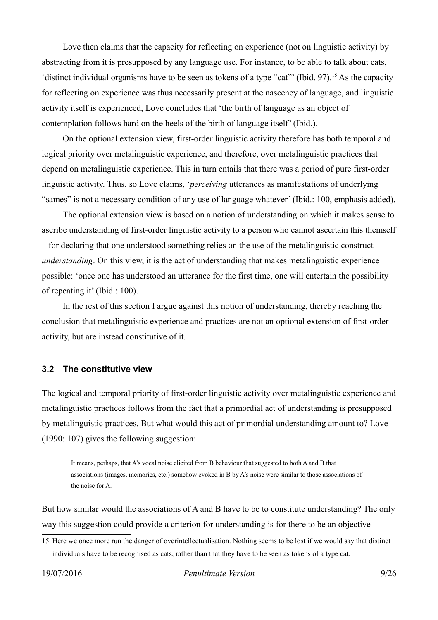Love then claims that the capacity for reflecting on experience (not on linguistic activity) by abstracting from it is presupposed by any language use. For instance, to be able to talk about cats, 'distinct individual organisms have to be seen as tokens of a type "cat"' (Ibid. 97).<sup>[15](#page-9-0)</sup> As the capacity for reflecting on experience was thus necessarily present at the nascency of language, and linguistic activity itself is experienced, Love concludes that 'the birth of language as an object of contemplation follows hard on the heels of the birth of language itself' (Ibid.).

On the optional extension view, first-order linguistic activity therefore has both temporal and logical priority over metalinguistic experience, and therefore, over metalinguistic practices that depend on metalinguistic experience. This in turn entails that there was a period of pure first-order linguistic activity. Thus, so Love claims, '*perceiving* utterances as manifestations of underlying "sames" is not a necessary condition of any use of language whatever' (Ibid.: 100, emphasis added).

The optional extension view is based on a notion of understanding on which it makes sense to ascribe understanding of first-order linguistic activity to a person who cannot ascertain this themself – for declaring that one understood something relies on the use of the metalinguistic construct *understanding*. On this view, it is the act of understanding that makes metalinguistic experience possible: 'once one has understood an utterance for the first time, one will entertain the possibility of repeating it' (Ibid.: 100).

In the rest of this section I argue against this notion of understanding, thereby reaching the conclusion that metalinguistic experience and practices are not an optional extension of first-order activity, but are instead constitutive of it.

#### **3.2 The constitutive view**

The logical and temporal priority of first-order linguistic activity over metalinguistic experience and metalinguistic practices follows from the fact that a primordial act of understanding is presupposed by metalinguistic practices. But what would this act of primordial understanding amount to? Love (1990: 107) gives the following suggestion:

It means, perhaps, that A's vocal noise elicited from B behaviour that suggested to both A and B that associations (images, memories, etc.) somehow evoked in B by A's noise were similar to those associations of the noise for A.

But how similar would the associations of A and B have to be to constitute understanding? The only way this suggestion could provide a criterion for understanding is for there to be an objective

<span id="page-9-0"></span><sup>15</sup> Here we once more run the danger of overintellectualisation. Nothing seems to be lost if we would say that distinct individuals have to be recognised as cats, rather than that they have to be seen as tokens of a type cat.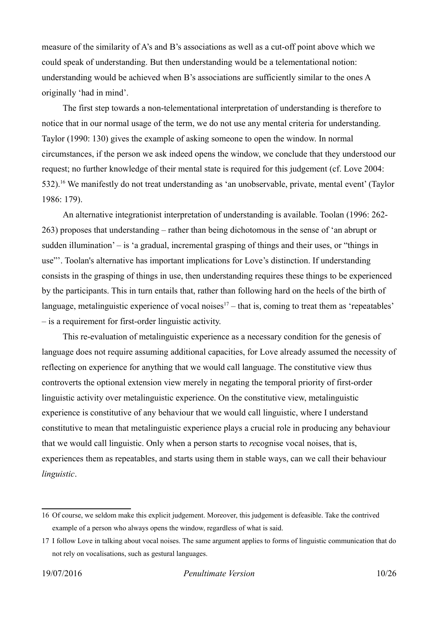measure of the similarity of A's and B's associations as well as a cut-off point above which we could speak of understanding. But then understanding would be a telementational notion: understanding would be achieved when B's associations are sufficiently similar to the ones A originally 'had in mind'.

The first step towards a non-telementational interpretation of understanding is therefore to notice that in our normal usage of the term, we do not use any mental criteria for understanding. Taylor (1990: 130) gives the example of asking someone to open the window. In normal circumstances, if the person we ask indeed opens the window, we conclude that they understood our request; no further knowledge of their mental state is required for this judgement (cf. Love 2004: 532). [16](#page-10-0) We manifestly do not treat understanding as 'an unobservable, private, mental event' (Taylor 1986: 179).

An alternative integrationist interpretation of understanding is available. Toolan (1996: 262- 263) proposes that understanding – rather than being dichotomous in the sense of 'an abrupt or sudden illumination' – is 'a gradual, incremental grasping of things and their uses, or "things in use"'. Toolan's alternative has important implications for Love's distinction. If understanding consists in the grasping of things in use, then understanding requires these things to be experienced by the participants. This in turn entails that, rather than following hard on the heels of the birth of language, metalinguistic experience of vocal noises $17$  – that is, coming to treat them as 'repeatables' – is a requirement for first-order linguistic activity.

This re-evaluation of metalinguistic experience as a necessary condition for the genesis of language does not require assuming additional capacities, for Love already assumed the necessity of reflecting on experience for anything that we would call language. The constitutive view thus controverts the optional extension view merely in negating the temporal priority of first-order linguistic activity over metalinguistic experience. On the constitutive view, metalinguistic experience is constitutive of any behaviour that we would call linguistic, where I understand constitutive to mean that metalinguistic experience plays a crucial role in producing any behaviour that we would call linguistic. Only when a person starts to *re*cognise vocal noises, that is, experiences them as repeatables, and starts using them in stable ways, can we call their behaviour *linguistic*.

<span id="page-10-0"></span><sup>16</sup> Of course, we seldom make this explicit judgement. Moreover, this judgement is defeasible. Take the contrived example of a person who always opens the window, regardless of what is said.

<span id="page-10-1"></span><sup>17</sup> I follow Love in talking about vocal noises. The same argument applies to forms of linguistic communication that do not rely on vocalisations, such as gestural languages.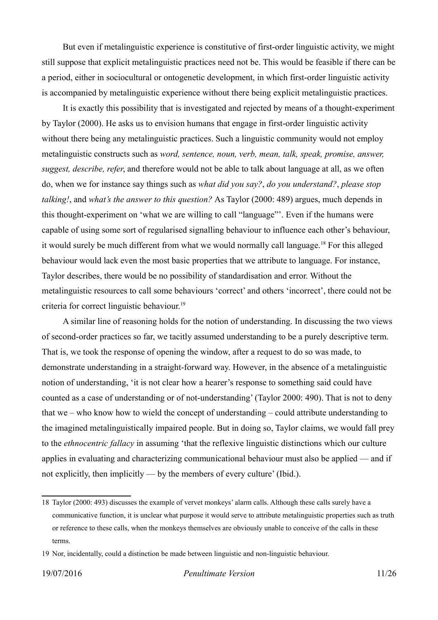But even if metalinguistic experience is constitutive of first-order linguistic activity, we might still suppose that explicit metalinguistic practices need not be. This would be feasible if there can be a period, either in sociocultural or ontogenetic development, in which first-order linguistic activity is accompanied by metalinguistic experience without there being explicit metalinguistic practices.

It is exactly this possibility that is investigated and rejected by means of a thought-experiment by Taylor (2000). He asks us to envision humans that engage in first-order linguistic activity without there being any metalinguistic practices. Such a linguistic community would not employ metalinguistic constructs such as *word, sentence, noun, verb, mean, talk, speak, promise, answer, suggest, describe, refer*, and therefore would not be able to talk about language at all, as we often do, when we for instance say things such as *what did you say?*, *do you understand?*, *please stop talking!*, and *what's the answer to this question?* As Taylor (2000: 489) argues, much depends in this thought-experiment on 'what we are willing to call "language"'. Even if the humans were capable of using some sort of regularised signalling behaviour to influence each other's behaviour, it would surely be much different from what we would normally call language.<sup>[18](#page-11-0)</sup> For this alleged behaviour would lack even the most basic properties that we attribute to language. For instance, Taylor describes, there would be no possibility of standardisation and error. Without the metalinguistic resources to call some behaviours 'correct' and others 'incorrect', there could not be criteria for correct linguistic behaviour.<sup>[19](#page-11-1)</sup>

A similar line of reasoning holds for the notion of understanding. In discussing the two views of second-order practices so far, we tacitly assumed understanding to be a purely descriptive term. That is, we took the response of opening the window, after a request to do so was made, to demonstrate understanding in a straight-forward way. However, in the absence of a metalinguistic notion of understanding, 'it is not clear how a hearer's response to something said could have counted as a case of understanding or of not-understanding' (Taylor 2000: 490). That is not to deny that we – who know how to wield the concept of understanding – could attribute understanding to the imagined metalinguistically impaired people. But in doing so, Taylor claims, we would fall prey to the *ethnocentric fallacy* in assuming 'that the reflexive linguistic distinctions which our culture applies in evaluating and characterizing communicational behaviour must also be applied — and if not explicitly, then implicitly — by the members of every culture' (Ibid.).

<span id="page-11-0"></span><sup>18</sup> Taylor (2000: 493) discusses the example of vervet monkeys' alarm calls. Although these calls surely have a communicative function, it is unclear what purpose it would serve to attribute metalinguistic properties such as truth or reference to these calls, when the monkeys themselves are obviously unable to conceive of the calls in these terms.

<span id="page-11-1"></span><sup>19</sup> Nor, incidentally, could a distinction be made between linguistic and non-linguistic behaviour.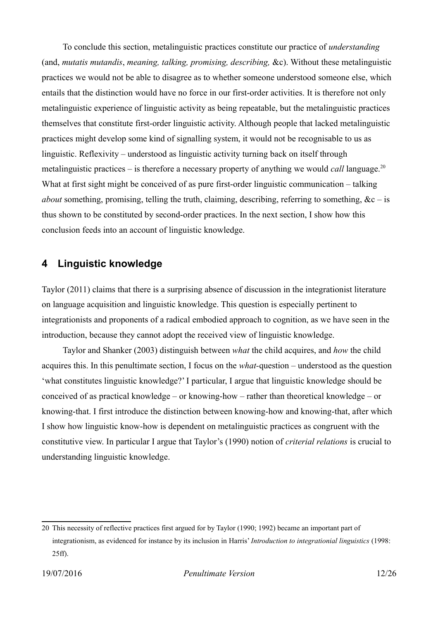To conclude this section, metalinguistic practices constitute our practice of *understanding* (and, *mutatis mutandis*, *meaning, talking, promising, describing,* &c). Without these metalinguistic practices we would not be able to disagree as to whether someone understood someone else, which entails that the distinction would have no force in our first-order activities. It is therefore not only metalinguistic experience of linguistic activity as being repeatable, but the metalinguistic practices themselves that constitute first-order linguistic activity. Although people that lacked metalinguistic practices might develop some kind of signalling system, it would not be recognisable to us as linguistic. Reflexivity – understood as linguistic activity turning back on itself through metalinguistic practices – is therefore a necessary property of anything we would *call* language.<sup>[20](#page-12-0)</sup> What at first sight might be conceived of as pure first-order linguistic communication – talking *about* something, promising, telling the truth, claiming, describing, referring to something,  $\&c$  – is thus shown to be constituted by second-order practices. In the next section, I show how this conclusion feeds into an account of linguistic knowledge.

# **4 Linguistic knowledge**

Taylor (2011) claims that there is a surprising absence of discussion in the integrationist literature on language acquisition and linguistic knowledge. This question is especially pertinent to integrationists and proponents of a radical embodied approach to cognition, as we have seen in the introduction, because they cannot adopt the received view of linguistic knowledge.

Taylor and Shanker (2003) distinguish between *what* the child acquires, and *how* the child acquires this. In this penultimate section, I focus on the *what-*question – understood as the question 'what constitutes linguistic knowledge?' I particular, I argue that linguistic knowledge should be conceived of as practical knowledge – or knowing-how – rather than theoretical knowledge – or knowing-that. I first introduce the distinction between knowing-how and knowing-that, after which I show how linguistic know-how is dependent on metalinguistic practices as congruent with the constitutive view. In particular I argue that Taylor's (1990) notion of *criterial relations* is crucial to understanding linguistic knowledge.

<span id="page-12-0"></span><sup>20</sup> This necessity of reflective practices first argued for by Taylor (1990; 1992) became an important part of integrationism, as evidenced for instance by its inclusion in Harris' *Introduction to integrationial linguistics* (1998: 25ff).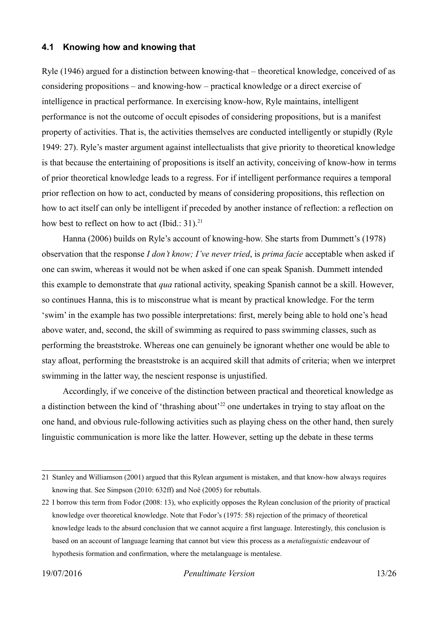#### **4.1 Knowing how and knowing that**

Ryle (1946) argued for a distinction between knowing-that – theoretical knowledge, conceived of as considering propositions – and knowing-how – practical knowledge or a direct exercise of intelligence in practical performance. In exercising know-how, Ryle maintains, intelligent performance is not the outcome of occult episodes of considering propositions, but is a manifest property of activities. That is, the activities themselves are conducted intelligently or stupidly (Ryle 1949: 27). Ryle's master argument against intellectualists that give priority to theoretical knowledge is that because the entertaining of propositions is itself an activity, conceiving of know-how in terms of prior theoretical knowledge leads to a regress. For if intelligent performance requires a temporal prior reflection on how to act, conducted by means of considering propositions, this reflection on how to act itself can only be intelligent if preceded by another instance of reflection: a reflection on how best to reflect on how to act (Ibid.:  $31$ ).<sup>[21](#page-13-0)</sup>

Hanna (2006) builds on Ryle's account of knowing-how. She starts from Dummett's (1978) observation that the response *I don't know; I've never tried*, is *prima facie* acceptable when asked if one can swim, whereas it would not be when asked if one can speak Spanish. Dummett intended this example to demonstrate that *qua* rational activity, speaking Spanish cannot be a skill. However, so continues Hanna, this is to misconstrue what is meant by practical knowledge. For the term 'swim' in the example has two possible interpretations: first, merely being able to hold one's head above water, and, second, the skill of swimming as required to pass swimming classes, such as performing the breaststroke. Whereas one can genuinely be ignorant whether one would be able to stay afloat, performing the breaststroke is an acquired skill that admits of criteria; when we interpret swimming in the latter way, the nescient response is unjustified.

Accordingly, if we conceive of the distinction between practical and theoretical knowledge as a distinction between the kind of 'thrashing about'<sup>[22](#page-13-1)</sup> one undertakes in trying to stay afloat on the one hand, and obvious rule-following activities such as playing chess on the other hand, then surely linguistic communication is more like the latter. However, setting up the debate in these terms

<span id="page-13-0"></span><sup>21</sup> Stanley and Williamson (2001) argued that this Rylean argument is mistaken, and that know-how always requires knowing that. See Simpson (2010: 632ff) and Noë (2005) for rebuttals.

<span id="page-13-1"></span><sup>22</sup> I borrow this term from Fodor (2008: 13), who explicitly opposes the Rylean conclusion of the priority of practical knowledge over theoretical knowledge. Note that Fodor's (1975: 58) rejection of the primacy of theoretical knowledge leads to the absurd conclusion that we cannot acquire a first language. Interestingly, this conclusion is based on an account of language learning that cannot but view this process as a *metalinguistic* endeavour of hypothesis formation and confirmation, where the metalanguage is mentalese.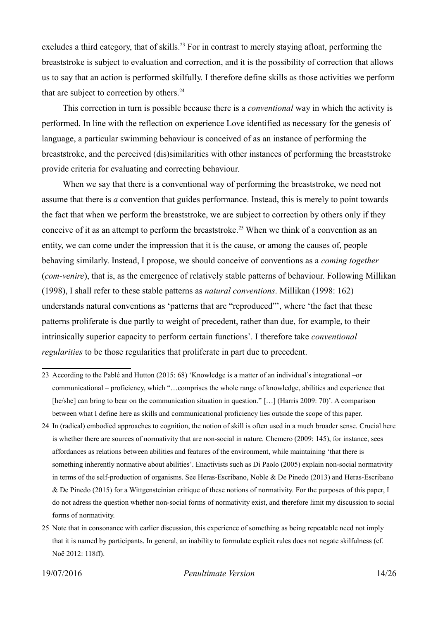excludes a third category, that of skills.<sup>[23](#page-14-0)</sup> For in contrast to merely staying afloat, performing the breaststroke is subject to evaluation and correction, and it is the possibility of correction that allows us to say that an action is performed skilfully. I therefore define skills as those activities we perform that are subject to correction by others. $24$ 

This correction in turn is possible because there is a *conventional* way in which the activity is performed. In line with the reflection on experience Love identified as necessary for the genesis of language, a particular swimming behaviour is conceived of as an instance of performing the breaststroke, and the perceived (dis)similarities with other instances of performing the breaststroke provide criteria for evaluating and correcting behaviour.

When we say that there is a conventional way of performing the breaststroke, we need not assume that there is *a* convention that guides performance. Instead, this is merely to point towards the fact that when we perform the breaststroke, we are subject to correction by others only if they conceive of it as an attempt to perform the breaststroke.<sup>[25](#page-14-2)</sup> When we think of a convention as an entity, we can come under the impression that it is the cause, or among the causes of, people behaving similarly. Instead, I propose, we should conceive of conventions as a *coming together* (*com-venire*), that is, as the emergence of relatively stable patterns of behaviour. Following Millikan (1998), I shall refer to these stable patterns as *natural conventions*. Millikan (1998: 162) understands natural conventions as 'patterns that are "reproduced"', where 'the fact that these patterns proliferate is due partly to weight of precedent, rather than due, for example, to their intrinsically superior capacity to perform certain functions'. I therefore take *conventional regularities* to be those regularities that proliferate in part due to precedent.

- <span id="page-14-0"></span>23 According to the Pablé and Hutton (2015: 68) 'Knowledge is a matter of an individual's integrational –or communicational – proficiency, which "…comprises the whole range of knowledge, abilities and experience that [he/she] can bring to bear on the communication situation in question." […] (Harris 2009: 70)'. A comparison between what I define here as skills and communicational proficiency lies outside the scope of this paper.
- <span id="page-14-1"></span>24 In (radical) embodied approaches to cognition, the notion of skill is often used in a much broader sense. Crucial here is whether there are sources of normativity that are non-social in nature. Chemero (2009: 145), for instance, sees affordances as relations between abilities and features of the environment, while maintaining 'that there is something inherently normative about abilities'. Enactivists such as Di Paolo (2005) explain non-social normativity in terms of the self-production of organisms. See Heras-Escribano, Noble & De Pinedo (2013) and Heras-Escribano & De Pinedo (2015) for a Wittgensteinian critique of these notions of normativity. For the purposes of this paper, I do not adress the question whether non-social forms of normativity exist, and therefore limit my discussion to social forms of normativity.

<span id="page-14-2"></span><sup>25</sup> Note that in consonance with earlier discussion, this experience of something as being repeatable need not imply that it is named by participants. In general, an inability to formulate explicit rules does not negate skilfulness (cf. Noë 2012: 118ff).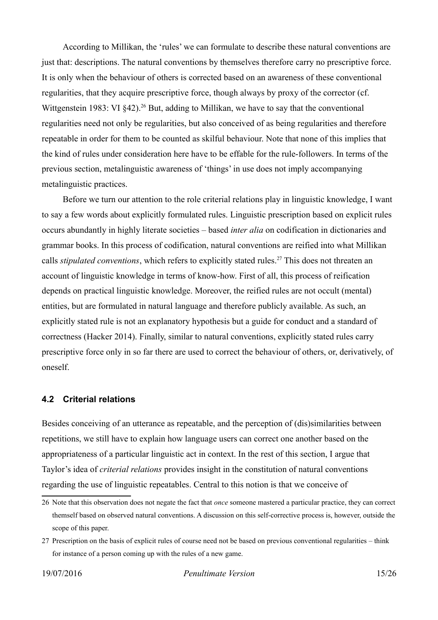According to Millikan, the 'rules' we can formulate to describe these natural conventions are just that: descriptions. The natural conventions by themselves therefore carry no prescriptive force. It is only when the behaviour of others is corrected based on an awareness of these conventional regularities, that they acquire prescriptive force, though always by proxy of the corrector (cf. Wittgenstein 1983: VI  $\S 42$ ).<sup>[26](#page-15-0)</sup> But, adding to Millikan, we have to say that the conventional regularities need not only be regularities, but also conceived of as being regularities and therefore repeatable in order for them to be counted as skilful behaviour. Note that none of this implies that the kind of rules under consideration here have to be effable for the rule-followers. In terms of the previous section, metalinguistic awareness of 'things' in use does not imply accompanying metalinguistic practices.

Before we turn our attention to the role criterial relations play in linguistic knowledge, I want to say a few words about explicitly formulated rules. Linguistic prescription based on explicit rules occurs abundantly in highly literate societies – based *inter alia* on codification in dictionaries and grammar books. In this process of codification, natural conventions are reified into what Millikan calls *stipulated conventions*, which refers to explicitly stated rules.<sup>[27](#page-15-1)</sup> This does not threaten an account of linguistic knowledge in terms of know-how. First of all, this process of reification depends on practical linguistic knowledge. Moreover, the reified rules are not occult (mental) entities, but are formulated in natural language and therefore publicly available. As such, an explicitly stated rule is not an explanatory hypothesis but a guide for conduct and a standard of correctness (Hacker 2014). Finally, similar to natural conventions, explicitly stated rules carry prescriptive force only in so far there are used to correct the behaviour of others, or, derivatively, of oneself.

#### **4.2 Criterial relations**

Besides conceiving of an utterance as repeatable, and the perception of (dis)similarities between repetitions, we still have to explain how language users can correct one another based on the appropriateness of a particular linguistic act in context. In the rest of this section, I argue that Taylor's idea of *criterial relations* provides insight in the constitution of natural conventions regarding the use of linguistic repeatables. Central to this notion is that we conceive of

<span id="page-15-0"></span><sup>26</sup> Note that this observation does not negate the fact that *once* someone mastered a particular practice, they can correct themself based on observed natural conventions. A discussion on this self-corrective process is, however, outside the scope of this paper.

<span id="page-15-1"></span><sup>27</sup> Prescription on the basis of explicit rules of course need not be based on previous conventional regularities – think for instance of a person coming up with the rules of a new game.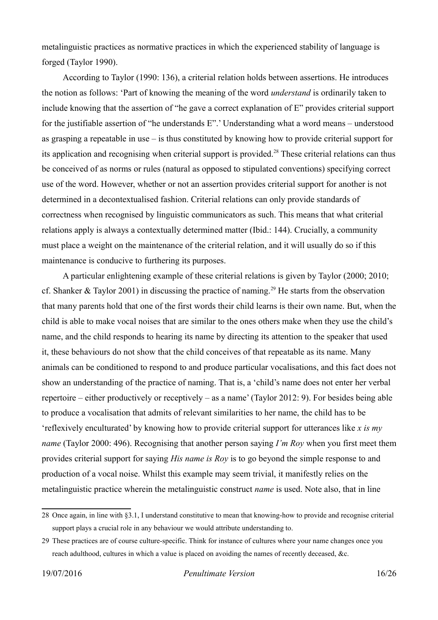metalinguistic practices as normative practices in which the experienced stability of language is forged (Taylor 1990).

According to Taylor (1990: 136), a criterial relation holds between assertions. He introduces the notion as follows: 'Part of knowing the meaning of the word *understand* is ordinarily taken to include knowing that the assertion of "he gave a correct explanation of E" provides criterial support for the justifiable assertion of "he understands E".' Understanding what a word means – understood as grasping a repeatable in use – is thus constituted by knowing how to provide criterial support for its application and recognising when criterial support is provided.<sup>[28](#page-16-0)</sup> These criterial relations can thus be conceived of as norms or rules (natural as opposed to stipulated conventions) specifying correct use of the word. However, whether or not an assertion provides criterial support for another is not determined in a decontextualised fashion. Criterial relations can only provide standards of correctness when recognised by linguistic communicators as such. This means that what criterial relations apply is always a contextually determined matter (Ibid.: 144). Crucially, a community must place a weight on the maintenance of the criterial relation, and it will usually do so if this maintenance is conducive to furthering its purposes.

A particular enlightening example of these criterial relations is given by Taylor (2000; 2010; cf. Shanker & Taylor 2001) in discussing the practice of naming.<sup>[29](#page-16-1)</sup> He starts from the observation that many parents hold that one of the first words their child learns is their own name. But, when the child is able to make vocal noises that are similar to the ones others make when they use the child's name, and the child responds to hearing its name by directing its attention to the speaker that used it, these behaviours do not show that the child conceives of that repeatable as its name. Many animals can be conditioned to respond to and produce particular vocalisations, and this fact does not show an understanding of the practice of naming. That is, a 'child's name does not enter her verbal repertoire – either productively or receptively – as a name' (Taylor 2012: 9). For besides being able to produce a vocalisation that admits of relevant similarities to her name, the child has to be 'reflexively enculturated' by knowing how to provide criterial support for utterances like *x is my name* (Taylor 2000: 496). Recognising that another person saying *I'm Roy* when you first meet them provides criterial support for saying *His name is Roy* is to go beyond the simple response to and production of a vocal noise. Whilst this example may seem trivial, it manifestly relies on the metalinguistic practice wherein the metalinguistic construct *name* is used. Note also, that in line

<span id="page-16-0"></span><sup>28</sup> Once again, in line with §3.1, I understand constitutive to mean that knowing-how to provide and recognise criterial support plays a crucial role in any behaviour we would attribute understanding to.

<span id="page-16-1"></span><sup>29</sup> These practices are of course culture-specific. Think for instance of cultures where your name changes once you reach adulthood, cultures in which a value is placed on avoiding the names of recently deceased, &c.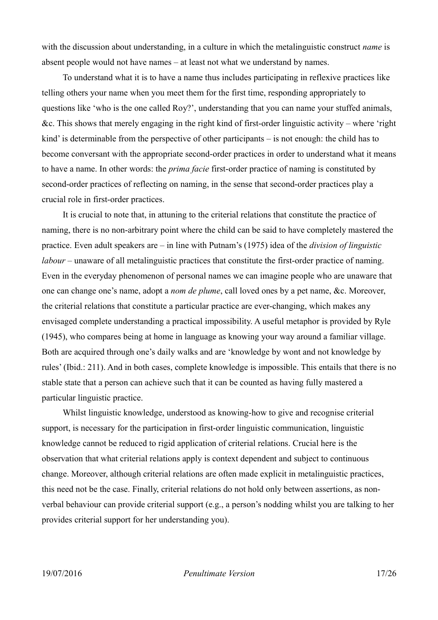with the discussion about understanding, in a culture in which the metalinguistic construct *name* is absent people would not have names – at least not what we understand by names.

To understand what it is to have a name thus includes participating in reflexive practices like telling others your name when you meet them for the first time, responding appropriately to questions like 'who is the one called Roy?', understanding that you can name your stuffed animals, &c. This shows that merely engaging in the right kind of first-order linguistic activity – where 'right kind' is determinable from the perspective of other participants – is not enough: the child has to become conversant with the appropriate second-order practices in order to understand what it means to have a name. In other words: the *prima facie* first-order practice of naming is constituted by second-order practices of reflecting on naming, in the sense that second-order practices play a crucial role in first-order practices.

It is crucial to note that, in attuning to the criterial relations that constitute the practice of naming, there is no non-arbitrary point where the child can be said to have completely mastered the practice. Even adult speakers are – in line with Putnam's (1975) idea of the *division of linguistic labour* – unaware of all metalinguistic practices that constitute the first-order practice of naming. Even in the everyday phenomenon of personal names we can imagine people who are unaware that one can change one's name, adopt a *nom de plume*, call loved ones by a pet name, &c. Moreover, the criterial relations that constitute a particular practice are ever-changing, which makes any envisaged complete understanding a practical impossibility. A useful metaphor is provided by Ryle (1945), who compares being at home in language as knowing your way around a familiar village. Both are acquired through one's daily walks and are 'knowledge by wont and not knowledge by rules' (Ibid.: 211). And in both cases, complete knowledge is impossible. This entails that there is no stable state that a person can achieve such that it can be counted as having fully mastered a particular linguistic practice.

Whilst linguistic knowledge, understood as knowing-how to give and recognise criterial support, is necessary for the participation in first-order linguistic communication, linguistic knowledge cannot be reduced to rigid application of criterial relations. Crucial here is the observation that what criterial relations apply is context dependent and subject to continuous change. Moreover, although criterial relations are often made explicit in metalinguistic practices, this need not be the case. Finally, criterial relations do not hold only between assertions, as nonverbal behaviour can provide criterial support (e.g., a person's nodding whilst you are talking to her provides criterial support for her understanding you).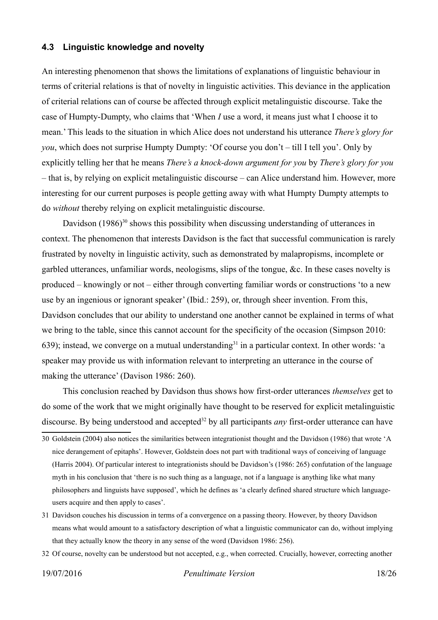#### **4.3 Linguistic knowledge and novelty**

An interesting phenomenon that shows the limitations of explanations of linguistic behaviour in terms of criterial relations is that of novelty in linguistic activities. This deviance in the application of criterial relations can of course be affected through explicit metalinguistic discourse. Take the case of Humpty-Dumpty, who claims that 'When *I* use a word, it means just what I choose it to mean.' This leads to the situation in which Alice does not understand his utterance *There's glory for you*, which does not surprise Humpty Dumpty: 'Of course you don't – till I tell you'. Only by explicitly telling her that he means *There's a knock-down argument for you* by *There's glory for you* – that is, by relying on explicit metalinguistic discourse – can Alice understand him. However, more interesting for our current purposes is people getting away with what Humpty Dumpty attempts to do *without* thereby relying on explicit metalinguistic discourse.

Davidson  $(1986)^{30}$  $(1986)^{30}$  $(1986)^{30}$  shows this possibility when discussing understanding of utterances in context. The phenomenon that interests Davidson is the fact that successful communication is rarely frustrated by novelty in linguistic activity, such as demonstrated by malapropisms, incomplete or garbled utterances, unfamiliar words, neologisms, slips of the tongue, &c. In these cases novelty is produced – knowingly or not – either through converting familiar words or constructions 'to a new use by an ingenious or ignorant speaker' (Ibid.: 259), or, through sheer invention. From this, Davidson concludes that our ability to understand one another cannot be explained in terms of what we bring to the table, since this cannot account for the specificity of the occasion (Simpson 2010: 639); instead, we converge on a mutual understanding<sup>[31](#page-18-1)</sup> in a particular context. In other words: 'a speaker may provide us with information relevant to interpreting an utterance in the course of making the utterance' (Davison 1986: 260).

This conclusion reached by Davidson thus shows how first-order utterances *themselves* get to do some of the work that we might originally have thought to be reserved for explicit metalinguistic discourse. By being understood and accepted<sup>[32](#page-18-2)</sup> by all participants *any* first-order utterance can have

<span id="page-18-2"></span>32 Of course, novelty can be understood but not accepted, e.g., when corrected. Crucially, however, correcting another

<span id="page-18-0"></span><sup>30</sup> Goldstein (2004) also notices the similarities between integrationist thought and the Davidson (1986) that wrote 'A nice derangement of epitaphs'. However, Goldstein does not part with traditional ways of conceiving of language (Harris 2004). Of particular interest to integrationists should be Davidson's (1986: 265) confutation of the language myth in his conclusion that 'there is no such thing as a language, not if a language is anything like what many philosophers and linguists have supposed', which he defines as 'a clearly defined shared structure which languageusers acquire and then apply to cases'.

<span id="page-18-1"></span><sup>31</sup> Davidson couches his discussion in terms of a convergence on a passing theory. However, by theory Davidson means what would amount to a satisfactory description of what a linguistic communicator can do, without implying that they actually know the theory in any sense of the word (Davidson 1986: 256).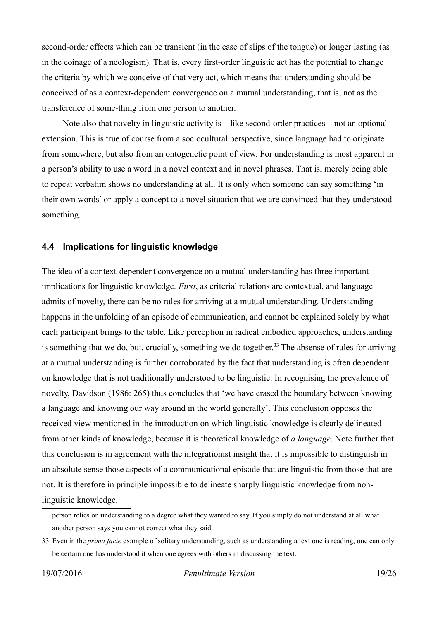second-order effects which can be transient (in the case of slips of the tongue) or longer lasting (as in the coinage of a neologism). That is, every first-order linguistic act has the potential to change the criteria by which we conceive of that very act, which means that understanding should be conceived of as a context-dependent convergence on a mutual understanding, that is, not as the transference of some-thing from one person to another.

Note also that novelty in linguistic activity is – like second-order practices – not an optional extension. This is true of course from a sociocultural perspective, since language had to originate from somewhere, but also from an ontogenetic point of view. For understanding is most apparent in a person's ability to use a word in a novel context and in novel phrases. That is, merely being able to repeat verbatim shows no understanding at all. It is only when someone can say something 'in their own words' or apply a concept to a novel situation that we are convinced that they understood something.

#### **4.4 Implications for linguistic knowledge**

The idea of a context-dependent convergence on a mutual understanding has three important implications for linguistic knowledge. *First*, as criterial relations are contextual, and language admits of novelty, there can be no rules for arriving at a mutual understanding. Understanding happens in the unfolding of an episode of communication, and cannot be explained solely by what each participant brings to the table. Like perception in radical embodied approaches, understanding is something that we do, but, crucially, something we do together.<sup>[33](#page-19-0)</sup> The absense of rules for arriving at a mutual understanding is further corroborated by the fact that understanding is often dependent on knowledge that is not traditionally understood to be linguistic. In recognising the prevalence of novelty, Davidson (1986: 265) thus concludes that 'we have erased the boundary between knowing a language and knowing our way around in the world generally'. This conclusion opposes the received view mentioned in the introduction on which linguistic knowledge is clearly delineated from other kinds of knowledge, because it is theoretical knowledge of *a language*. Note further that this conclusion is in agreement with the integrationist insight that it is impossible to distinguish in an absolute sense those aspects of a communicational episode that are linguistic from those that are not. It is therefore in principle impossible to delineate sharply linguistic knowledge from nonlinguistic knowledge.

person relies on understanding to a degree what they wanted to say. If you simply do not understand at all what another person says you cannot correct what they said.

<span id="page-19-0"></span><sup>33</sup> Even in the *prima facie* example of solitary understanding, such as understanding a text one is reading, one can only be certain one has understood it when one agrees with others in discussing the text.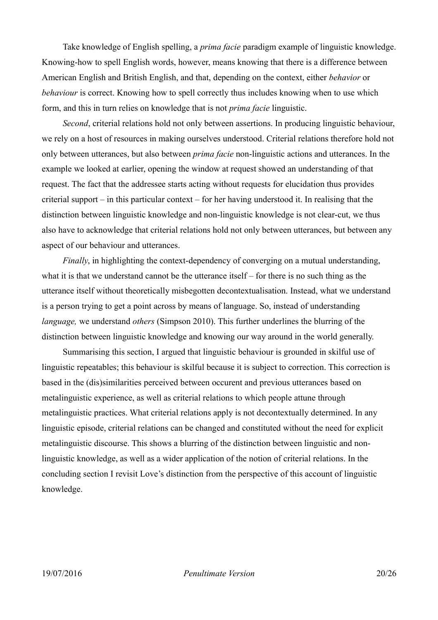Take knowledge of English spelling, a *prima facie* paradigm example of linguistic knowledge. Knowing-how to spell English words, however, means knowing that there is a difference between American English and British English, and that, depending on the context, either *behavior* or *behaviour* is correct. Knowing how to spell correctly thus includes knowing when to use which form, and this in turn relies on knowledge that is not *prima facie* linguistic.

*Second*, criterial relations hold not only between assertions. In producing linguistic behaviour, we rely on a host of resources in making ourselves understood. Criterial relations therefore hold not only between utterances, but also between *prima facie* non-linguistic actions and utterances. In the example we looked at earlier, opening the window at request showed an understanding of that request. The fact that the addressee starts acting without requests for elucidation thus provides criterial support – in this particular context – for her having understood it. In realising that the distinction between linguistic knowledge and non-linguistic knowledge is not clear-cut, we thus also have to acknowledge that criterial relations hold not only between utterances, but between any aspect of our behaviour and utterances.

*Finally*, in highlighting the context-dependency of converging on a mutual understanding, what it is that we understand cannot be the utterance itself – for there is no such thing as the utterance itself without theoretically misbegotten decontextualisation. Instead, what we understand is a person trying to get a point across by means of language. So, instead of understanding *language,* we understand *others* (Simpson 2010). This further underlines the blurring of the distinction between linguistic knowledge and knowing our way around in the world generally.

Summarising this section, I argued that linguistic behaviour is grounded in skilful use of linguistic repeatables; this behaviour is skilful because it is subject to correction. This correction is based in the (dis)similarities perceived between occurent and previous utterances based on metalinguistic experience, as well as criterial relations to which people attune through metalinguistic practices. What criterial relations apply is not decontextually determined. In any linguistic episode, criterial relations can be changed and constituted without the need for explicit metalinguistic discourse. This shows a blurring of the distinction between linguistic and nonlinguistic knowledge, as well as a wider application of the notion of criterial relations. In the concluding section I revisit Love's distinction from the perspective of this account of linguistic knowledge.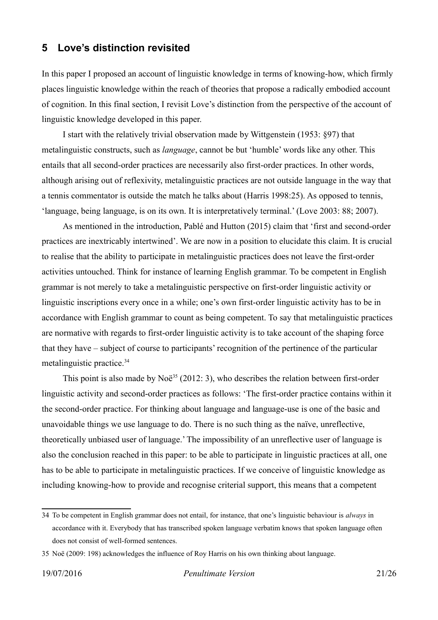### **5 Love's distinction revisited**

In this paper I proposed an account of linguistic knowledge in terms of knowing-how, which firmly places linguistic knowledge within the reach of theories that propose a radically embodied account of cognition. In this final section, I revisit Love's distinction from the perspective of the account of linguistic knowledge developed in this paper.

I start with the relatively trivial observation made by Wittgenstein (1953: §97) that metalinguistic constructs, such as *language*, cannot be but 'humble' words like any other. This entails that all second-order practices are necessarily also first-order practices. In other words, although arising out of reflexivity, metalinguistic practices are not outside language in the way that a tennis commentator is outside the match he talks about (Harris 1998:25). As opposed to tennis, 'language, being language, is on its own. It is interpretatively terminal.' (Love 2003: 88; 2007).

As mentioned in the introduction, Pablé and Hutton (2015) claim that 'first and second-order practices are inextricably intertwined'. We are now in a position to elucidate this claim. It is crucial to realise that the ability to participate in metalinguistic practices does not leave the first-order activities untouched. Think for instance of learning English grammar. To be competent in English grammar is not merely to take a metalinguistic perspective on first-order linguistic activity or linguistic inscriptions every once in a while; one's own first-order linguistic activity has to be in accordance with English grammar to count as being competent. To say that metalinguistic practices are normative with regards to first-order linguistic activity is to take account of the shaping force that they have – subject of course to participants' recognition of the pertinence of the particular metalinguistic practice.<sup>[34](#page-21-0)</sup>

This point is also made by Noë<sup>[35](#page-21-1)</sup> (2012: 3), who describes the relation between first-order linguistic activity and second-order practices as follows: 'The first-order practice contains within it the second-order practice. For thinking about language and language-use is one of the basic and unavoidable things we use language to do. There is no such thing as the naïve, unreflective, theoretically unbiased user of language.' The impossibility of an unreflective user of language is also the conclusion reached in this paper: to be able to participate in linguistic practices at all, one has to be able to participate in metalinguistic practices. If we conceive of linguistic knowledge as including knowing-how to provide and recognise criterial support, this means that a competent

<span id="page-21-0"></span><sup>34</sup> To be competent in English grammar does not entail, for instance, that one's linguistic behaviour is *always* in accordance with it. Everybody that has transcribed spoken language verbatim knows that spoken language often does not consist of well-formed sentences.

<span id="page-21-1"></span><sup>35</sup> Noë (2009: 198) acknowledges the influence of Roy Harris on his own thinking about language.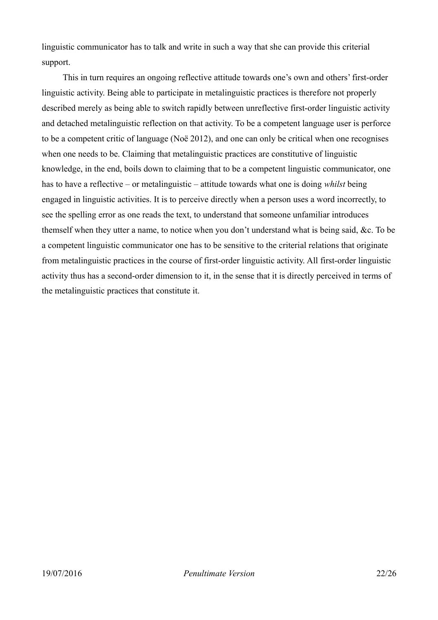linguistic communicator has to talk and write in such a way that she can provide this criterial support.

This in turn requires an ongoing reflective attitude towards one's own and others' first-order linguistic activity. Being able to participate in metalinguistic practices is therefore not properly described merely as being able to switch rapidly between unreflective first-order linguistic activity and detached metalinguistic reflection on that activity. To be a competent language user is perforce to be a competent critic of language (Noë 2012), and one can only be critical when one recognises when one needs to be. Claiming that metalinguistic practices are constitutive of linguistic knowledge, in the end, boils down to claiming that to be a competent linguistic communicator, one has to have a reflective – or metalinguistic – attitude towards what one is doing *whilst* being engaged in linguistic activities. It is to perceive directly when a person uses a word incorrectly, to see the spelling error as one reads the text, to understand that someone unfamiliar introduces themself when they utter a name, to notice when you don't understand what is being said, &c. To be a competent linguistic communicator one has to be sensitive to the criterial relations that originate from metalinguistic practices in the course of first-order linguistic activity. All first-order linguistic activity thus has a second-order dimension to it, in the sense that it is directly perceived in terms of the metalinguistic practices that constitute it.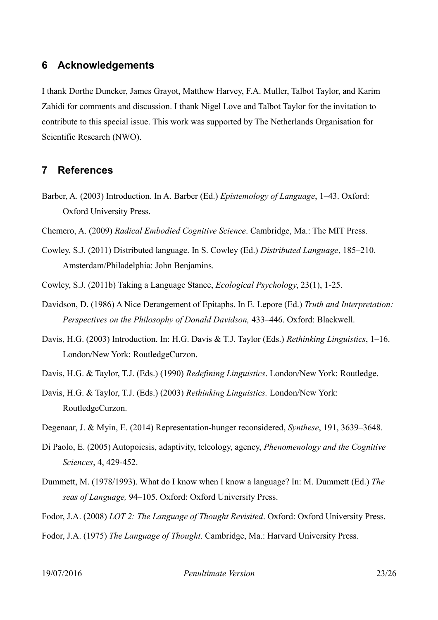## **6 Acknowledgements**

I thank Dorthe Duncker, James Grayot, Matthew Harvey, F.A. Muller, Talbot Taylor, and Karim Zahidi for comments and discussion. I thank Nigel Love and Talbot Taylor for the invitation to contribute to this special issue. This work was supported by The Netherlands Organisation for Scientific Research (NWO).

# **7 References**

- Barber, A. (2003) Introduction. In A. Barber (Ed.) *Epistemology of Language*, 1–43. Oxford: Oxford University Press.
- Chemero, A. (2009) *Radical Embodied Cognitive Science*. Cambridge, Ma.: The MIT Press.
- Cowley, S.J. (2011) Distributed language. In S. Cowley (Ed.) *Distributed Language*, 185–210. Amsterdam/Philadelphia: John Benjamins.
- Cowley, S.J. (2011b) Taking a Language Stance, *Ecological Psychology*, 23(1), 1-25.
- Davidson, D. (1986) A Nice Derangement of Epitaphs. In E. Lepore (Ed.) *Truth and Interpretation: Perspectives on the Philosophy of Donald Davidson,* 433–446. Oxford: Blackwell.
- Davis, H.G. (2003) Introduction. In: H.G. Davis & T.J. Taylor (Eds.) *Rethinking Linguistics*, 1–16. London/New York: RoutledgeCurzon.
- Davis, H.G. & Taylor, T.J. (Eds.) (1990) *Redefining Linguistics*. London/New York: Routledge.
- Davis, H.G. & Taylor, T.J. (Eds.) (2003) *Rethinking Linguistics.* London/New York: RoutledgeCurzon.
- Degenaar, J. & Myin, E. (2014) Representation-hunger reconsidered, *Synthese*, 191, 3639–3648.
- Di Paolo, E. (2005) Autopoiesis, adaptivity, teleology, agency, *Phenomenology and the Cognitive Sciences*, 4, 429-452.
- Dummett, M. (1978/1993). What do I know when I know a language? In: M. Dummett (Ed.) *The seas of Language,* 94–105. Oxford: Oxford University Press.

Fodor, J.A. (2008) *LOT 2: The Language of Thought Revisited*. Oxford: Oxford University Press.

Fodor, J.A. (1975) *The Language of Thought*. Cambridge, Ma.: Harvard University Press.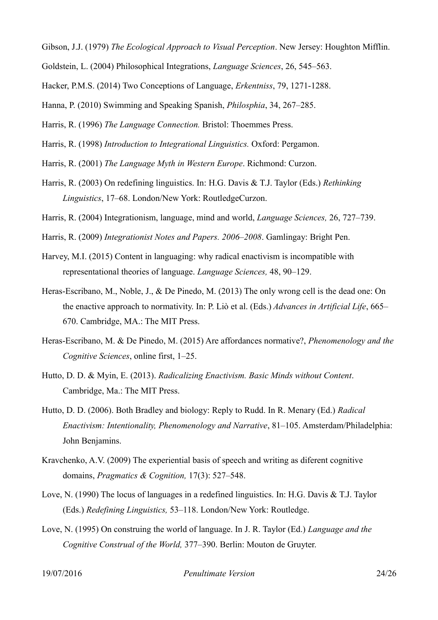- Gibson, J.J. (1979) *The Ecological Approach to Visual Perception*. New Jersey: Houghton Mifflin.
- Goldstein, L. (2004) Philosophical Integrations, *Language Sciences*, 26, 545–563.
- Hacker, P.M.S. (2014) Two Conceptions of Language, *Erkentniss*, 79, 1271-1288.
- Hanna, P. (2010) Swimming and Speaking Spanish, *Philosphia*, 34, 267–285.
- Harris, R. (1996) *The Language Connection.* Bristol: Thoemmes Press.
- Harris, R. (1998) *Introduction to Integrational Linguistics.* Oxford: Pergamon.
- Harris, R. (2001) *The Language Myth in Western Europe*. Richmond: Curzon.
- Harris, R. (2003) On redefining linguistics. In: H.G. Davis & T.J. Taylor (Eds.) *Rethinking Linguistics*, 17–68. London/New York: RoutledgeCurzon.
- Harris, R. (2004) Integrationism, language, mind and world, *Language Sciences,* 26, 727–739.
- Harris, R. (2009) *Integrationist Notes and Papers. 2006–2008*. Gamlingay: Bright Pen.
- Harvey, M.I. (2015) Content in languaging: why radical enactivism is incompatible with representational theories of language. *Language Sciences,* 48, 90–129.
- Heras-Escribano, M., Noble, J., & De Pinedo, M. (2013) The only wrong cell is the dead one: On the enactive approach to normativity. In: P. Liò et al. (Eds.) *Advances in Artificial Life*, 665– 670. Cambridge, MA.: The MIT Press.
- Heras-Escribano, M. & De Pinedo, M. (2015) Are affordances normative?, *Phenomenology and the Cognitive Sciences*, online first, 1–25.
- Hutto, D. D. & Myin, E. (2013). *Radicalizing Enactivism. Basic Minds without Content*. Cambridge, Ma.: The MIT Press.
- Hutto, D. D. (2006). Both Bradley and biology: Reply to Rudd. In R. Menary (Ed.) *Radical Enactivism: Intentionality, Phenomenology and Narrative*, 81–105. Amsterdam/Philadelphia: John Benjamins.
- Kravchenko, A.V. (2009) The experiential basis of speech and writing as diferent cognitive domains, *Pragmatics & Cognition,* 17(3): 527–548.
- Love, N. (1990) The locus of languages in a redefined linguistics. In: H.G. Davis & T.J. Taylor (Eds.) *Redefining Linguistics,* 53–118. London/New York: Routledge.
- Love, N. (1995) On construing the world of language. In J. R. Taylor (Ed.) *Language and the Cognitive Construal of the World,* 377–390. Berlin: Mouton de Gruyter.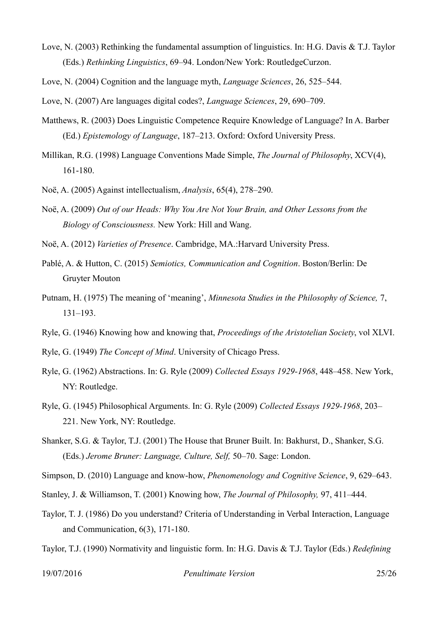- Love, N. (2003) Rethinking the fundamental assumption of linguistics. In: H.G. Davis & T.J. Taylor (Eds.) *Rethinking Linguistics*, 69–94. London/New York: RoutledgeCurzon.
- Love, N. (2004) Cognition and the language myth, *Language Sciences*, 26, 525–544.

Love, N. (2007) Are languages digital codes?, *Language Sciences*, 29, 690–709.

- Matthews, R. (2003) Does Linguistic Competence Require Knowledge of Language? In A. Barber (Ed.) *Epistemology of Language*, 187–213. Oxford: Oxford University Press.
- Millikan, R.G. (1998) Language Conventions Made Simple, *The Journal of Philosophy*, XCV(4), 161-180.
- Noë, A. (2005) Against intellectualism, *Analysis*, 65(4), 278–290.
- Noë, A. (2009) *Out of our Heads: Why You Are Not Your Brain, and Other Lessons from the Biology of Consciousness.* New York: Hill and Wang.
- Noë, A. (2012) *Varieties of Presence*. Cambridge, MA.:Harvard University Press.
- Pablé, A. & Hutton, C. (2015) *Semiotics, Communication and Cognition*. Boston/Berlin: De Gruyter Mouton
- Putnam, H. (1975) The meaning of 'meaning', *Minnesota Studies in the Philosophy of Science,* 7, 131–193.
- Ryle, G. (1946) Knowing how and knowing that, *Proceedings of the Aristotelian Society*, vol XLVI.
- Ryle, G. (1949) *The Concept of Mind*. University of Chicago Press.
- Ryle, G. (1962) Abstractions. In: G. Ryle (2009) *Collected Essays 1929-1968*, 448–458. New York, NY: Routledge.
- Ryle, G. (1945) Philosophical Arguments. In: G. Ryle (2009) *Collected Essays 1929-1968*, 203– 221. New York, NY: Routledge.
- Shanker, S.G. & Taylor, T.J. (2001) The House that Bruner Built. In: Bakhurst, D., Shanker, S.G. (Eds.) *Jerome Bruner: Language, Culture, Self,* 50–70. Sage: London.

Simpson, D. (2010) Language and know-how, *Phenomenology and Cognitive Science*, 9, 629–643.

- Stanley, J. & Williamson, T. (2001) Knowing how, *The Journal of Philosophy,* 97, 411–444.
- Taylor, T. J. (1986) Do you understand? Criteria of Understanding in Verbal Interaction, Language and Communication, 6(3), 171-180.
- Taylor, T.J. (1990) Normativity and linguistic form. In: H.G. Davis & T.J. Taylor (Eds.) *Redefining*